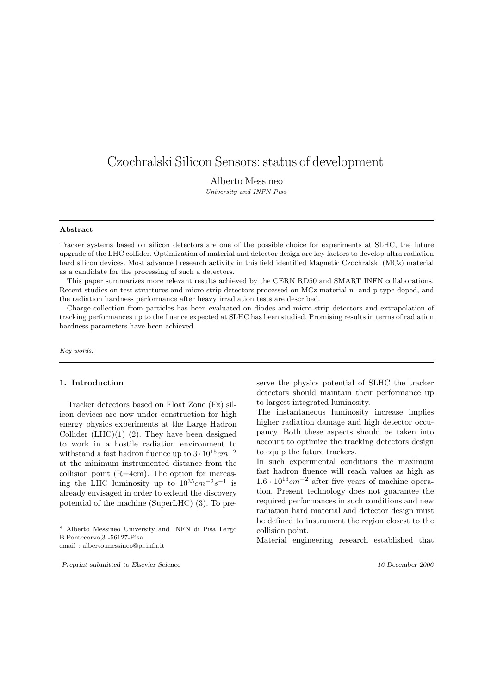# Czochralski Silicon Sensors: status of development

Alberto Messineo University and INFN Pisa

#### Abstract

Tracker systems based on silicon detectors are one of the possible choice for experiments at SLHC, the future upgrade of the LHC collider. Optimization of material and detector design are key factors to develop ultra radiation hard silicon devices. Most advanced research activity in this field identified Magnetic Czochralski (MCz) material as a candidate for the processing of such a detectors.

This paper summarizes more relevant results achieved by the CERN RD50 and SMART INFN collaborations. Recent studies on test structures and micro-strip detectors processed on MCz material n- and p-type doped, and the radiation hardness performance after heavy irradiation tests are described.

Charge collection from particles has been evaluated on diodes and micro-strip detectors and extrapolation of tracking performances up to the fluence expected at SLHC has been studied. Promising results in terms of radiation hardness parameters have been achieved.

Key words:

## 1. Introduction

Tracker detectors based on Float Zone (Fz) silicon devices are now under construction for high energy physics experiments at the Large Hadron Collider  $(LHC)(1)$  (2). They have been designed to work in a hostile radiation environment to withstand a fast hadron fluence up to  $3 \cdot 10^{15} cm^{-2}$ at the minimum instrumented distance from the collision point (R=4cm). The option for increasing the LHC luminosity up to  $10^{35}$ cm<sup>-2</sup>s<sup>-1</sup> is already envisaged in order to extend the discovery potential of the machine (SuperLHC) (3). To predetectors should maintain their performance up to largest integrated luminosity. The instantaneous luminosity increase implies

serve the physics potential of SLHC the tracker

higher radiation damage and high detector occupancy. Both these aspects should be taken into account to optimize the tracking detectors design to equip the future trackers.

In such experimental conditions the maximum fast hadron fluence will reach values as high as  $1.6 \cdot 10^{16}$ cm<sup>-2</sup> after five years of machine operation. Present technology does not guarantee the required performances in such conditions and new radiation hard material and detector design must be defined to instrument the region closest to the collision point.

Material engineering research established that

<sup>∗</sup> Alberto Messineo University and INFN di Pisa Largo B.Pontecorvo,3 -56127-Pisa

email : alberto.messineo@pi.infn.it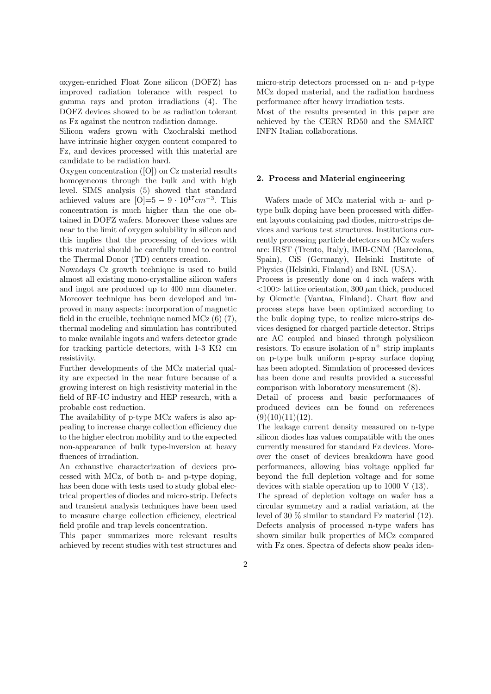oxygen-enriched Float Zone silicon (DOFZ) has improved radiation tolerance with respect to gamma rays and proton irradiations (4). The DOFZ devices showed to be as radiation tolerant as Fz against the neutron radiation damage.

Silicon wafers grown with Czochralski method have intrinsic higher oxygen content compared to Fz, and devices processed with this material are candidate to be radiation hard.

Oxygen concentration ([O]) on Cz material results homogeneous through the bulk and with high level. SIMS analysis (5) showed that standard achieved values are  $[O]=5-9 \cdot 10^{17} cm^{-3}$ . This concentration is much higher than the one obtained in DOFZ wafers. Moreover these values are near to the limit of oxygen solubility in silicon and this implies that the processing of devices with this material should be carefully tuned to control the Thermal Donor (TD) centers creation.

Nowadays Cz growth technique is used to build almost all existing mono-crystalline silicon wafers and ingot are produced up to 400 mm diameter. Moreover technique has been developed and improved in many aspects: incorporation of magnetic field in the crucible, technique named MCz (6) (7), thermal modeling and simulation has contributed to make available ingots and wafers detector grade for tracking particle detectors, with 1-3 K $\Omega$  cm resistivity.

Further developments of the MCz material quality are expected in the near future because of a growing interest on high resistivity material in the field of RF-IC industry and HEP research, with a probable cost reduction.

The availability of p-type MCz wafers is also appealing to increase charge collection efficiency due to the higher electron mobility and to the expected non-appearance of bulk type-inversion at heavy fluences of irradiation.

An exhaustive characterization of devices processed with MCz, of both n- and p-type doping, has been done with tests used to study global electrical properties of diodes and micro-strip. Defects and transient analysis techniques have been used to measure charge collection efficiency, electrical field profile and trap levels concentration.

This paper summarizes more relevant results achieved by recent studies with test structures and micro-strip detectors processed on n- and p-type MCz doped material, and the radiation hardness performance after heavy irradiation tests.

Most of the results presented in this paper are achieved by the CERN RD50 and the SMART INFN Italian collaborations.

## 2. Process and Material engineering

Wafers made of MCz material with n- and ptype bulk doping have been processed with different layouts containing pad diodes, micro-strips devices and various test structures. Institutions currently processing particle detectors on MCz wafers are: IRST (Trento, Italy), IMB-CNM (Barcelona, Spain), CiS (Germany), Helsinki Institute of Physics (Helsinki, Finland) and BNL (USA).

Process is presently done on 4 inch wafers with  $\langle 100 \rangle$  lattice orientation, 300  $\mu$ m thick, produced by Okmetic (Vantaa, Finland). Chart flow and process steps have been optimized according to the bulk doping type, to realize micro-strips devices designed for charged particle detector. Strips are AC coupled and biased through polysilicon resistors. To ensure isolation of  $n^+$  strip implants on p-type bulk uniform p-spray surface doping has been adopted. Simulation of processed devices has been done and results provided a successful comparison with laboratory measurement (8).

Detail of process and basic performances of produced devices can be found on references  $(9)(10)(11)(12)$ .

The leakage current density measured on n-type silicon diodes has values compatible with the ones currently measured for standard Fz devices. Moreover the onset of devices breakdown have good performances, allowing bias voltage applied far beyond the full depletion voltage and for some devices with stable operation up to 1000 V (13).

The spread of depletion voltage on wafer has a circular symmetry and a radial variation, at the level of 30 % similar to standard Fz material (12). Defects analysis of processed n-type wafers has shown similar bulk properties of MCz compared with Fz ones. Spectra of defects show peaks iden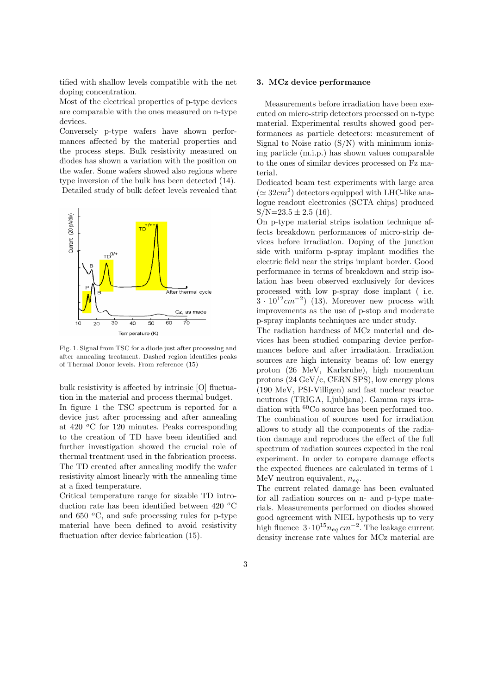tified with shallow levels compatible with the net doping concentration.

Most of the electrical properties of p-type devices are comparable with the ones measured on n-type devices.

Conversely p-type wafers have shown performances affected by the material properties and the process steps. Bulk resistivity measured on diodes has shown a variation with the position on the wafer. Some wafers showed also regions where type inversion of the bulk has been detected (14). Detailed study of bulk defect levels revealed that



Fig. 1. Signal from TSC for a diode just after processing and after annealing treatment. Dashed region identifies peaks of Thermal Donor levels. From reference (15)

bulk resistivity is affected by intrinsic [O] fluctuation in the material and process thermal budget. In figure 1 the TSC spectrum is reported for a device just after processing and after annealing at  $420\text{ °C}$  for 120 minutes. Peaks corresponding to the creation of TD have been identified and further investigation showed the crucial role of thermal treatment used in the fabrication process. The TD created after annealing modify the wafer resistivity almost linearly with the annealing time at a fixed temperature.

Critical temperature range for sizable TD introduction rate has been identified between 420  $^{\circ}$ C and 650  $\degree$ C, and safe processing rules for p-type material have been defined to avoid resistivity fluctuation after device fabrication  $(15)$ .

#### 3. MCz device performance

Measurements before irradiation have been executed on micro-strip detectors processed on n-type material. Experimental results showed good performances as particle detectors: measurement of Signal to Noise ratio  $(S/N)$  with minimum ionizing particle (m.i.p.) has shown values comparable to the ones of similar devices processed on Fz material.

Dedicated beam test experiments with large area  $(\simeq 32cm^2)$  detectors equipped with LHC-like analogue readout electronics (SCTA chips) produced  $S/N=23.5\pm2.5$  (16).

On p-type material strips isolation technique affects breakdown performances of micro-strip devices before irradiation. Doping of the junction side with uniform p-spray implant modifies the electric field near the strips implant border. Good performance in terms of breakdown and strip isolation has been observed exclusively for devices processed with low p-spray dose implant ( i.e.  $3 \cdot 10^{12}$  cm<sup>-2</sup>) (13). Moreover new process with improvements as the use of p-stop and moderate p-spray implants techniques are under study.

The radiation hardness of MCz material and devices has been studied comparing device performances before and after irradiation. Irradiation sources are high intensity beams of: low energy proton (26 MeV, Karlsruhe), high momentum protons (24 GeV/c, CERN SPS), low energy pions (190 MeV, PSI-Villigen) and fast nuclear reactor neutrons (TRIGA, Ljubljana). Gamma rays irradiation with <sup>60</sup>Co source has been performed too. The combination of sources used for irradiation allows to study all the components of the radiation damage and reproduces the effect of the full spectrum of radiation sources expected in the real experiment. In order to compare damage effects the expected fluences are calculated in terms of 1 MeV neutron equivalent,  $n_{ea}$ .

The current related damage has been evaluated for all radiation sources on n- and p-type materials. Measurements performed on diodes showed good agreement with NIEL hypothesis up to very high fluence  $3 \cdot 10^{15} n_{eq}$  cm<sup>-2</sup>. The leakage current density increase rate values for MCz material are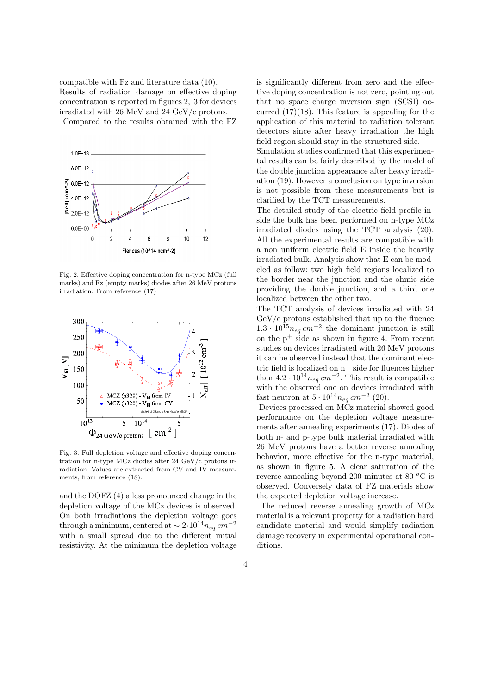compatible with Fz and literature data (10). Results of radiation damage on effective doping concentration is reported in figures 2, 3 for devices irradiated with 26 MeV and 24 GeV/c protons. Compared to the results obtained with the FZ



Fig. 2. Effective doping concentration for n-type MCz (full marks) and Fz (empty marks) diodes after 26 MeV protons irradiation. From reference (17)



Fig. 3. Full depletion voltage and effective doping concentration for n-type MCz diodes after 24 GeV/c protons irradiation. Values are extracted from CV and IV measurements, from reference (18).

and the DOFZ (4) a less pronounced change in the depletion voltage of the MCz devices is observed. On both irradiations the depletion voltage goes through a minimum, centered at  $\sim 2\cdot 10^{14} n_{eq}$  cm<sup>-2</sup> with a small spread due to the different initial resistivity. At the minimum the depletion voltage is significantly different from zero and the effective doping concentration is not zero, pointing out that no space charge inversion sign (SCSI) occurred  $(17)(18)$ . This feature is appealing for the application of this material to radiation tolerant detectors since after heavy irradiation the high field region should stay in the structured side.

Simulation studies confirmed that this experimental results can be fairly described by the model of the double junction appearance after heavy irradiation (19). However a conclusion on type inversion is not possible from these measurements but is clarified by the TCT measurements.

The detailed study of the electric field profile inside the bulk has been performed on n-type MCz irradiated diodes using the TCT analysis (20). All the experimental results are compatible with a non uniform electric field E inside the heavily irradiated bulk. Analysis show that E can be modeled as follow: two high field regions localized to the border near the junction and the ohmic side providing the double junction, and a third one localized between the other two.

The TCT analysis of devices irradiated with 24 GeV/c protons established that up to the fluence  $1.3 \cdot 10^{15} n_{eq}$  cm<sup>-2</sup> the dominant junction is still on the  $p^+$  side as shown in figure 4. From recent studies on devices irradiated with 26 MeV protons it can be observed instead that the dominant electric field is localized on  $n^+$  side for fluences higher than  $4.2 \cdot 10^{14} n_{eq}$  cm<sup>-2</sup>. This result is compatible with the observed one on devices irradiated with fast neutron at  $5 \cdot 10^{14} n_{eq} \, cm^{-2}$  (20).

Devices processed on MCz material showed good performance on the depletion voltage measurements after annealing experiments (17). Diodes of both n- and p-type bulk material irradiated with 26 MeV protons have a better reverse annealing behavior, more effective for the n-type material, as shown in figure 5. A clear saturation of the reverse annealing beyond 200 minutes at 80 $\degree$ C is observed. Conversely data of FZ materials show the expected depletion voltage increase.

The reduced reverse annealing growth of MCz material is a relevant property for a radiation hard candidate material and would simplify radiation damage recovery in experimental operational conditions.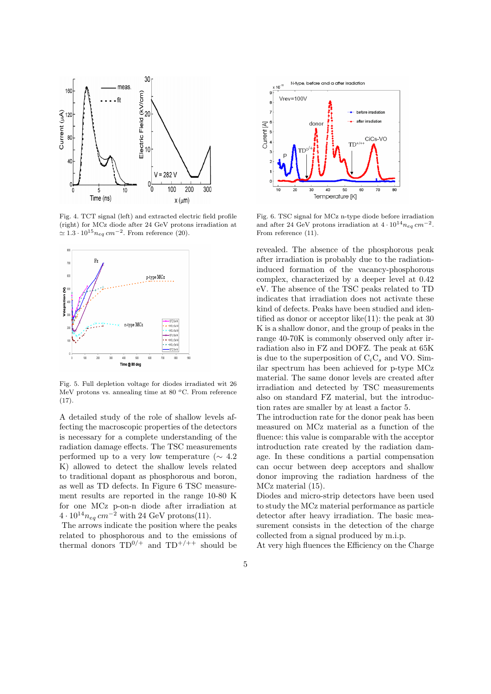

Fig. 4. TCT signal (left) and extracted electric field profile (right) for MCz diode after 24 GeV protons irradiation at  $\simeq 1.3 \cdot 10^{15} n_{eq}$  cm<sup>-2</sup>. From reference (20).



Fig. 5. Full depletion voltage for diodes irradiated wit 26 MeV protons vs. annealing time at 80  $^{\circ}$ C. From reference  $(17).$ 

A detailed study of the role of shallow levels affecting the macroscopic properties of the detectors is necessary for a complete understanding of the radiation damage effects. The TSC measurements performed up to a very low temperature ( $\sim 4.2$ ) K) allowed to detect the shallow levels related to traditional dopant as phosphorous and boron, as well as TD defects. In Figure 6 TSC measurement results are reported in the range 10-80 K for one MCz p-on-n diode after irradiation at  $4 \cdot 10^{14} n_{eq}$  cm<sup>-2</sup> with 24 GeV protons(11).

The arrows indicate the position where the peaks related to phosphorous and to the emissions of thermal donors  $TD^{0/+}$  and  $TD^{+/++}$  should be



Fig. 6. TSC signal for MCz n-type diode before irradiation and after 24 GeV protons irradiation at  $4 \cdot 10^{14} n_{eq} \, cm^{-2}$ . From reference (11).

revealed. The absence of the phosphorous peak after irradiation is probably due to the radiationinduced formation of the vacancy-phosphorous complex, characterized by a deeper level at 0.42 eV. The absence of the TSC peaks related to TD indicates that irradiation does not activate these kind of defects. Peaks have been studied and identified as donor or acceptor like(11): the peak at 30 K is a shallow donor, and the group of peaks in the range 40-70K is commonly observed only after irradiation also in FZ and DOFZ. The peak at 65K is due to the superposition of  $C_iC_s$  and VO. Similar spectrum has been achieved for p-type MCz material. The same donor levels are created after irradiation and detected by TSC measurements also on standard FZ material, but the introduction rates are smaller by at least a factor 5.

The introduction rate for the donor peak has been measured on MCz material as a function of the fluence: this value is comparable with the acceptor introduction rate created by the radiation damage. In these conditions a partial compensation can occur between deep acceptors and shallow donor improving the radiation hardness of the MCz material (15).

Diodes and micro-strip detectors have been used to study the MCz material performance as particle detector after heavy irradiation. The basic measurement consists in the detection of the charge collected from a signal produced by m.i.p.

At very high fluences the Efficiency on the Charge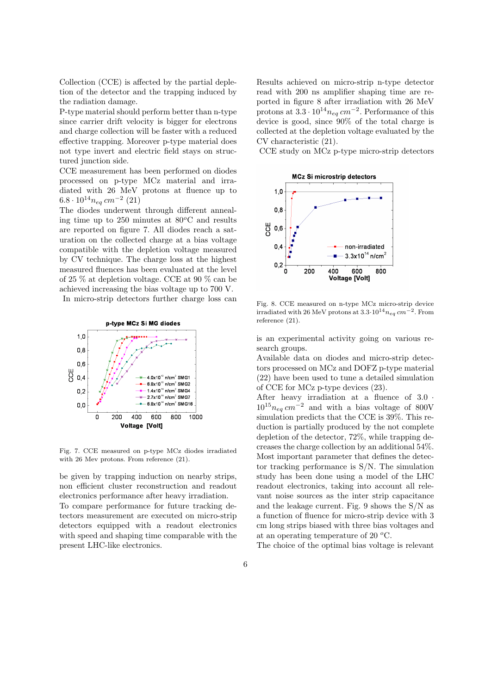Collection (CCE) is affected by the partial depletion of the detector and the trapping induced by the radiation damage.

P-type material should perform better than n-type since carrier drift velocity is bigger for electrons and charge collection will be faster with a reduced effective trapping. Moreover p-type material does not type invert and electric field stays on structured junction side.

CCE measurement has been performed on diodes processed on p-type MCz material and irradiated with 26 MeV protons at fluence up to  $6.8 \cdot 10^{14} n_{eq}$  cm<sup>-2</sup> (21)

The diodes underwent through different annealing time up to  $250$  minutes at  $80^{\circ}$ C and results are reported on figure 7. All diodes reach a saturation on the collected charge at a bias voltage compatible with the depletion voltage measured by CV technique. The charge loss at the highest measured fluences has been evaluated at the level of 25 % at depletion voltage. CCE at 90 % can be achieved increasing the bias voltage up to 700 V. In micro-strip detectors further charge loss can



Fig. 7. CCE measured on p-type MCz diodes irradiated with 26 Mev protons. From reference (21).

be given by trapping induction on nearby strips, non efficient cluster reconstruction and readout electronics performance after heavy irradiation. To compare performance for future tracking detectors measurement are executed on micro-strip detectors equipped with a readout electronics with speed and shaping time comparable with the present LHC-like electronics.

Results achieved on micro-strip n-type detector read with 200 ns amplifier shaping time are reported in figure 8 after irradiation with 26 MeV protons at  $3.3 \cdot 10^{14} n_{eq}$  cm<sup>-2</sup>. Performance of this device is good, since 90% of the total charge is collected at the depletion voltage evaluated by the CV characteristic (21).

CCE study on MCz p-type micro-strip detectors



Fig. 8. CCE measured on n-type MCz micro-strip device irradiated with 26 MeV protons at  $3.3 \cdot 10^{14} n_{eq}$  cm<sup>-2</sup>. From reference (21).

is an experimental activity going on various research groups.

Available data on diodes and micro-strip detectors processed on MCz and DOFZ p-type material (22) have been used to tune a detailed simulation of CCE for MCz p-type devices (23).

After heavy irradiation at a fluence of 3.0 ·  $10^{15}n_{eq}$  cm<sup>-2</sup> and with a bias voltage of 800V simulation predicts that the CCE is 39%. This reduction is partially produced by the not complete depletion of the detector, 72%, while trapping decreases the charge collection by an additional 54%. Most important parameter that defines the detector tracking performance is S/N. The simulation study has been done using a model of the LHC readout electronics, taking into account all relevant noise sources as the inter strip capacitance and the leakage current. Fig. 9 shows the S/N as a function of fluence for micro-strip device with 3 cm long strips biased with three bias voltages and at an operating temperature of 20  $^{\circ}$ C.

The choice of the optimal bias voltage is relevant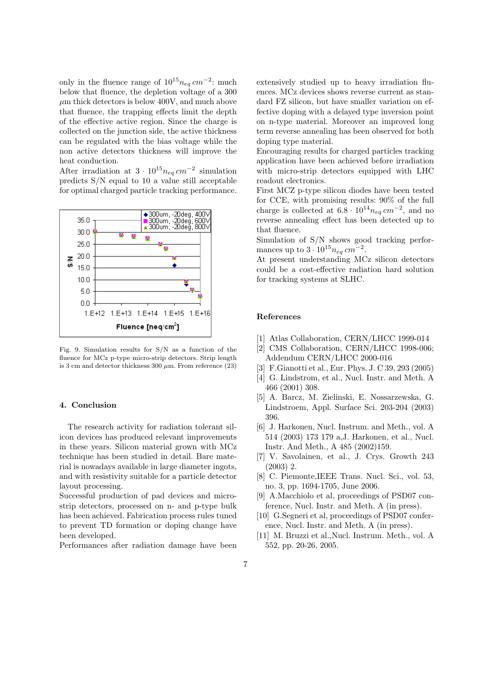only in the fluence range of  $10^{15}n_{eq}$  cm<sup>-2</sup>: much below that fluence, the depletion voltage of a 300  $\mu$ m thick detectors is below 400V, and much above that fluence, the trapping effects limit the depth of the effective active region. Since the charge is collected on the junction side, the active thickness can be regulated with the bias voltage while the non active detectors thickness will improve the heat conduction.

After irradiation at  $3 \cdot 10^{15} n_{eq}$  cm<sup>-2</sup> simulation predicts S/N equal to 10 a value still acceptable for optimal charged particle tracking performance.

![](_page_6_Figure_2.jpeg)

Fig. 9. Simulation results for S/N as a function of the fluence for MCz p-type micro-strip detectors. Strip length is 3 cm and detector thickness 300  $\mu$ m. From reference (23)

#### 4. Conclusion

The research activity for radiation tolerant silicon devices has produced relevant improvements in these years. Silicon material grown with MCz technique has been studied in detail. Bare material is nowadays available in large diameter ingots, and with resistivity suitable for a particle detector layout processing.

Successful production of pad devices and microstrip detectors, processed on n- and p-type bulk has been achieved. Fabrication process rules tuned to prevent TD formation or doping change have been developed.

Performances after radiation damage have been

extensively studied up to heavy irradiation fluences. MCz devices shows reverse current as standard FZ silicon, but have smaller variation on effective doping with a delayed type inversion point on n-type material. Moreover an improved long term reverse annealing has been observed for both doping type material.

Encouraging results for charged particles tracking application have been achieved before irradiation with micro-strip detectors equipped with LHC readout electronics.

First MCZ p-type silicon diodes have been tested for CCE, with promising results: 90% of the full charge is collected at  $6.8 \cdot 10^{14} n_{eq} cm^{-2}$ , and no reverse annealing effect has been detected up to that fluence.

Simulation of S/N shows good tracking performances up to  $3 \cdot 10^{15} n_{eq}$  cm<sup>-2</sup>.

At present understanding MCz silicon detectors could be a cost-effective radiation hard solution for tracking systems at SLHC.

## References

- [1] Atlas Collaboration, CERN/LHCC 1999-014
- [2] CMS Collaboration, CERN/LHCC 1998-006; Addendum CERN/LHCC 2000-016
- [3] F.Gianotti et al., Eur. Phys. J. C 39, 293 (2005)
- [4] G. Lindstrom, et al., Nucl. Instr. and Meth. A 466 (2001) 308.
- [5] A. Barcz, M. Zielinski, E. Nossarzewska, G. Lindstroem, Appl. Surface Sci. 203-204 (2003) 396.
- [6] J. Harkonen, Nucl. Instrum. and Meth., vol. A 514 (2003) 173 179 a,J. Harkonen, et al., Nucl. Instr. And Meth., A 485 (2002)159.
- [7] V. Savolainen, et al., J. Crys. Growth 243 (2003) 2.
- [8] C. Piemonte,IEEE Trans. Nucl. Sci., vol. 53, no. 3, pp. 1694-1705, June 2006.
- [9] A.Macchiolo et al, proceedings of PSD07 conference, Nucl. Instr. and Meth. A (in press).
- [10] G.Segneri et al, proceedings of PSD07 conference, Nucl. Instr. and Meth. A (in press).
- [11] M. Bruzzi et al.,Nucl. Instrum. Meth., vol. A 552, pp. 20-26, 2005.